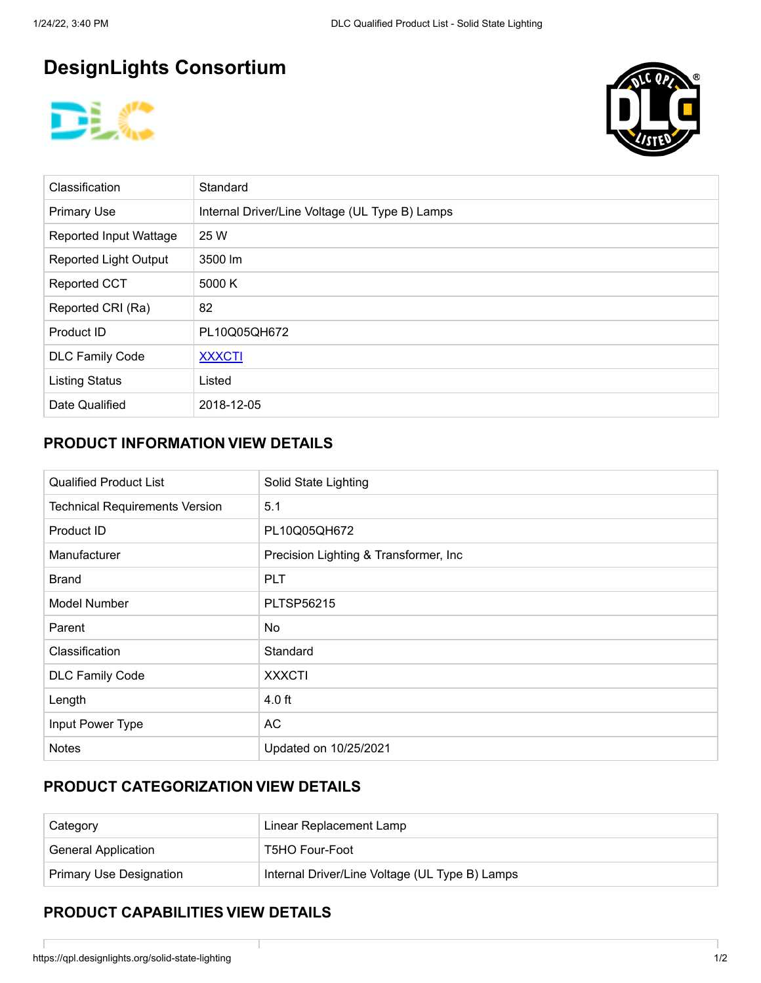# **DesignLights Consortium**





| Classification                | Standard                                       |
|-------------------------------|------------------------------------------------|
| <b>Primary Use</b>            | Internal Driver/Line Voltage (UL Type B) Lamps |
| <b>Reported Input Wattage</b> | 25 W                                           |
| <b>Reported Light Output</b>  | 3500 lm                                        |
| <b>Reported CCT</b>           | 5000 K                                         |
| Reported CRI (Ra)             | 82                                             |
| Product ID                    | PL10Q05QH672                                   |
| <b>DLC Family Code</b>        | <b>XXXCTI</b>                                  |
| <b>Listing Status</b>         | Listed                                         |
| Date Qualified                | 2018-12-05                                     |

#### **PRODUCT INFORMATION VIEW DETAILS**

| <b>Qualified Product List</b>         | Solid State Lighting                   |
|---------------------------------------|----------------------------------------|
| <b>Technical Requirements Version</b> | 5.1                                    |
| Product ID                            | PL10Q05QH672                           |
| Manufacturer                          | Precision Lighting & Transformer, Inc. |
| <b>Brand</b>                          | <b>PLT</b>                             |
| <b>Model Number</b>                   | <b>PLTSP56215</b>                      |
| Parent                                | No.                                    |
| Classification                        | Standard                               |
| <b>DLC Family Code</b>                | <b>XXXCTI</b>                          |
| Length                                | $4.0$ ft                               |
| Input Power Type                      | <b>AC</b>                              |
| <b>Notes</b>                          | Updated on 10/25/2021                  |

### **PRODUCT CATEGORIZATION VIEW DETAILS**

| Category                       | Linear Replacement Lamp                        |  |
|--------------------------------|------------------------------------------------|--|
| <b>General Application</b>     | <b>T5HO Four-Foot</b>                          |  |
| <b>Primary Use Designation</b> | Internal Driver/Line Voltage (UL Type B) Lamps |  |

#### **PRODUCT CAPABILITIES VIEW DETAILS**